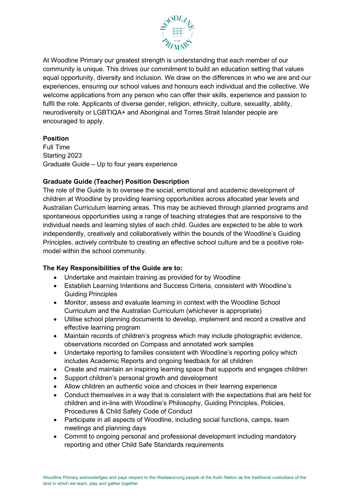

At Woodline Primary our greatest strength is understanding that each member of our community is unique. This drives our commitment to build an education setting that values equal opportunity, diversity and inclusion. We draw on the differences in who we are and our experiences, ensuring our school values and honours each individual and the collective. We welcome applications from any person who can offer their skills, experience and passion to fulfil the role. Applicants of diverse gender, religion, ethnicity, culture, sexuality, ability, neurodiversity or LGBTIQA+ and Aboriginal and Torres Strait Islander people are encouraged to apply.

## **Position**

Full Time Starting 2023 Graduate Guide – Up to four years experience

# **Graduate Guide (Teacher) Position Description**

The role of the Guide is to oversee the social, emotional and academic development of children at Woodline by providing learning opportunities across allocated year levels and Australian Curriculum learning areas. This may be achieved through planned programs and spontaneous opportunities using a range of teaching strategies that are responsive to the individual needs and learning styles of each child. Guides are expected to be able to work independently, creatively and collaboratively within the bounds of the Woodline's Guiding Principles, actively contribute to creating an effective school culture and be a positive rolemodel within the school community.

# **The Key Responsibilities of the Guide are to:**

- Undertake and maintain training as provided for by Woodline
- Establish Learning Intentions and Success Criteria, consistent with Woodline's Guiding Principles
- Monitor, assess and evaluate learning in context with the Woodline School Curriculum and the Australian Curriculum (whichever is appropriate)
- Utilise school planning documents to develop, implement and record a creative and effective learning program
- Maintain records of children's progress which may include photographic evidence, observations recorded on Compass and annotated work samples
- Undertake reporting to families consistent with Woodline's reporting policy which includes Academic Reports and ongoing feedback for all children
- Create and maintain an inspiring learning space that supports and engages children
- Support children's personal growth and development
- Allow children an authentic voice and choices in their learning experience
- Conduct themselves in a way that is consistent with the expectations that are held for children and in-line with Woodline's Philosophy, Guiding Principles, Policies, Procedures & Child Safety Code of Conduct
- Participate in all aspects of Woodline, including social functions, camps, team meetings and planning days
- Commit to ongoing personal and professional development including mandatory reporting and other Child Safe Standards requirements